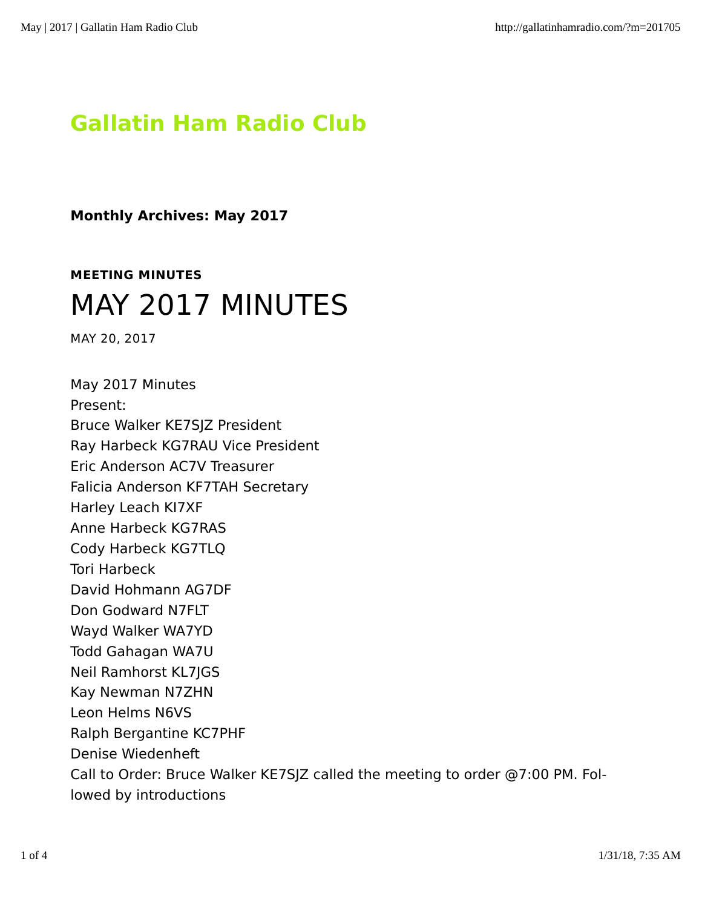## **Gallatin Ham Radio Club**

**Monthly Archives: May 2017**

## **MEETING MINUTES** MAY 2017 MINUTES

MAY 20, 2017

May 2017 Minutes Present: Bruce Walker KE7SJZ President Ray Harbeck KG7RAU Vice President Eric Anderson AC7V Treasurer Falicia Anderson KF7TAH Secretary Harley Leach KI7XF Anne Harbeck KG7RAS Cody Harbeck KG7TLQ Tori Harbeck David Hohmann AG7DF Don Godward N7FLT Wayd Walker WA7YD Todd Gahagan WA7U Neil Ramhorst KL7JGS Kay Newman N7ZHN Leon Helms N6VS Ralph Bergantine KC7PHF Denise Wiedenheft Call to Order: Bruce Walker KE7SJZ called the meeting to order @7:00 PM. Fol‐ lowed by introductions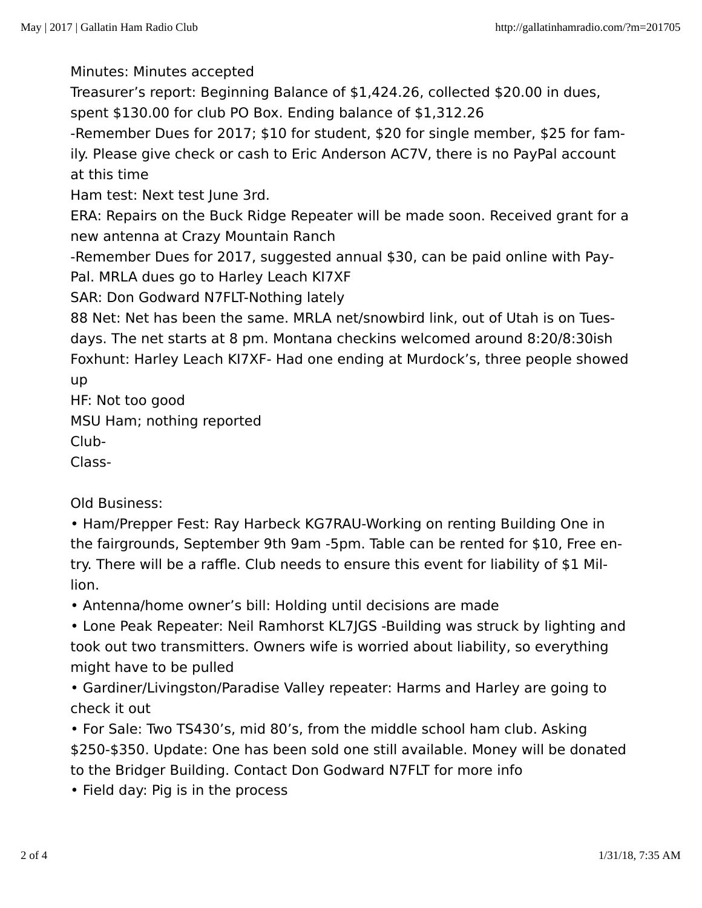Minutes: Minutes accepted

Treasurer's report: Beginning Balance of \$1,424.26, collected \$20.00 in dues, spent \$130.00 for club PO Box. Ending balance of \$1,312.26

-Remember Dues for 2017; \$10 for student, \$20 for single member, \$25 for fam‐ ily. Please give check or cash to Eric Anderson AC7V, there is no PayPal account at this time

Ham test: Next test June 3rd.

ERA: Repairs on the Buck Ridge Repeater will be made soon. Received grant for a new antenna at Crazy Mountain Ranch

-Remember Dues for 2017, suggested annual \$30, can be paid online with Pay‐ Pal. MRLA dues go to Harley Leach KI7XF

SAR: Don Godward N7FLT-Nothing lately

88 Net: Net has been the same. MRLA net/snowbird link, out of Utah is on Tues‐ days. The net starts at 8 pm. Montana checkins welcomed around 8:20/8:30ish Foxhunt: Harley Leach KI7XF- Had one ending at Murdock's, three people showed up

HF: Not too good

MSU Ham; nothing reported

Club-

Class-

Old Business:

• Ham/Prepper Fest: Ray Harbeck KG7RAU-Working on renting Building One in the fairgrounds, September 9th 9am -5pm. Table can be rented for \$10, Free en‐ try. There will be a raffle. Club needs to ensure this event for liability of \$1 Mil‐ lion.

• Antenna/home owner's bill: Holding until decisions are made

• Lone Peak Repeater: Neil Ramhorst KL7JGS -Building was struck by lighting and took out two transmitters. Owners wife is worried about liability, so everything might have to be pulled

• Gardiner/Livingston/Paradise Valley repeater: Harms and Harley are going to check it out

• For Sale: Two TS430's, mid 80's, from the middle school ham club. Asking \$250-\$350. Update: One has been sold one still available. Money will be donated to the Bridger Building. Contact Don Godward N7FLT for more info

• Field day: Pig is in the process